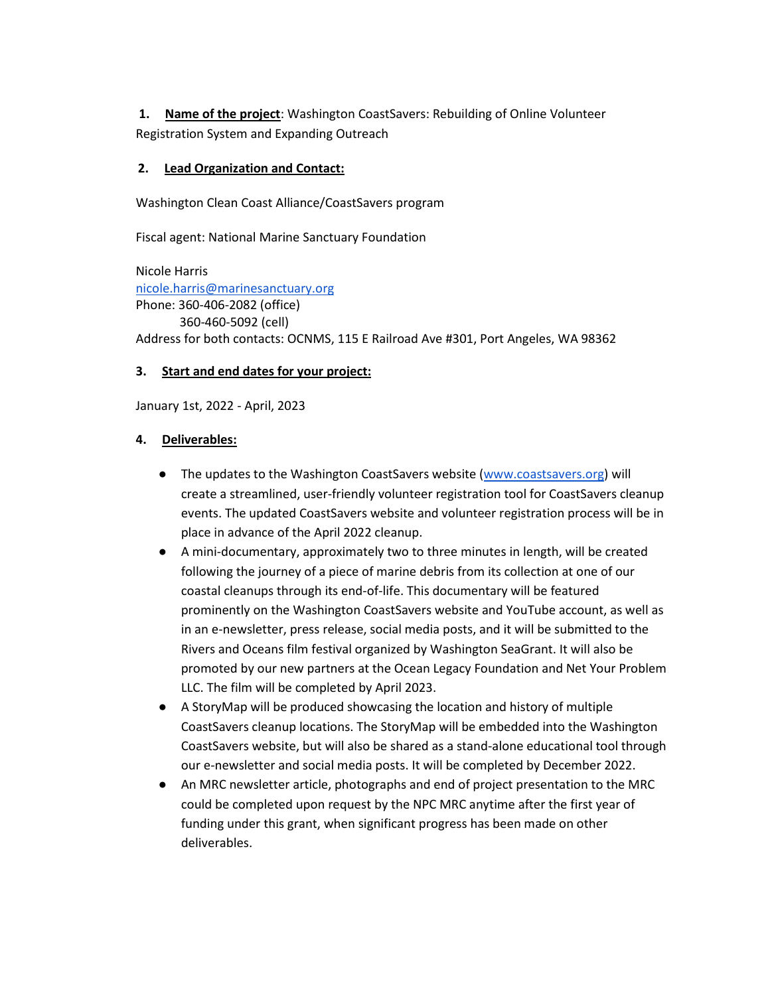**1. Name of the project**: Washington CoastSavers: Rebuilding of Online Volunteer Registration System and Expanding Outreach

### **2. Lead Organization and Contact:**

Washington Clean Coast Alliance/CoastSavers program

Fiscal agent: National Marine Sanctuary Foundation

Nicole Harris [nicole.harris@marinesanctuary.org](mailto:nicole.harris@marinesanctuary.org) Phone: 360-406-2082 (office) 360-460-5092 (cell) Address for both contacts: OCNMS, 115 E Railroad Ave #301, Port Angeles, WA 98362

# **3. Start and end dates for your project:**

January 1st, 2022 - April, 2023

#### **4. Deliverables:**

- The updates to the Washington CoastSavers website [\(www.coastsavers.org\)](http://www.coastsavers.org/) will create a streamlined, user-friendly volunteer registration tool for CoastSavers cleanup events. The updated CoastSavers website and volunteer registration process will be in place in advance of the April 2022 cleanup.
- A mini-documentary, approximately two to three minutes in length, will be created following the journey of a piece of marine debris from its collection at one of our coastal cleanups through its end-of-life. This documentary will be featured prominently on the Washington CoastSavers website and YouTube account, as well as in an e-newsletter, press release, social media posts, and it will be submitted to the Rivers and Oceans film festival organized by Washington SeaGrant. It will also be promoted by our new partners at the Ocean Legacy Foundation and Net Your Problem LLC. The film will be completed by April 2023.
- A StoryMap will be produced showcasing the location and history of multiple CoastSavers cleanup locations. The StoryMap will be embedded into the Washington CoastSavers website, but will also be shared as a stand-alone educational tool through our e-newsletter and social media posts. It will be completed by December 2022.
- An MRC newsletter article, photographs and end of project presentation to the MRC could be completed upon request by the NPC MRC anytime after the first year of funding under this grant, when significant progress has been made on other deliverables.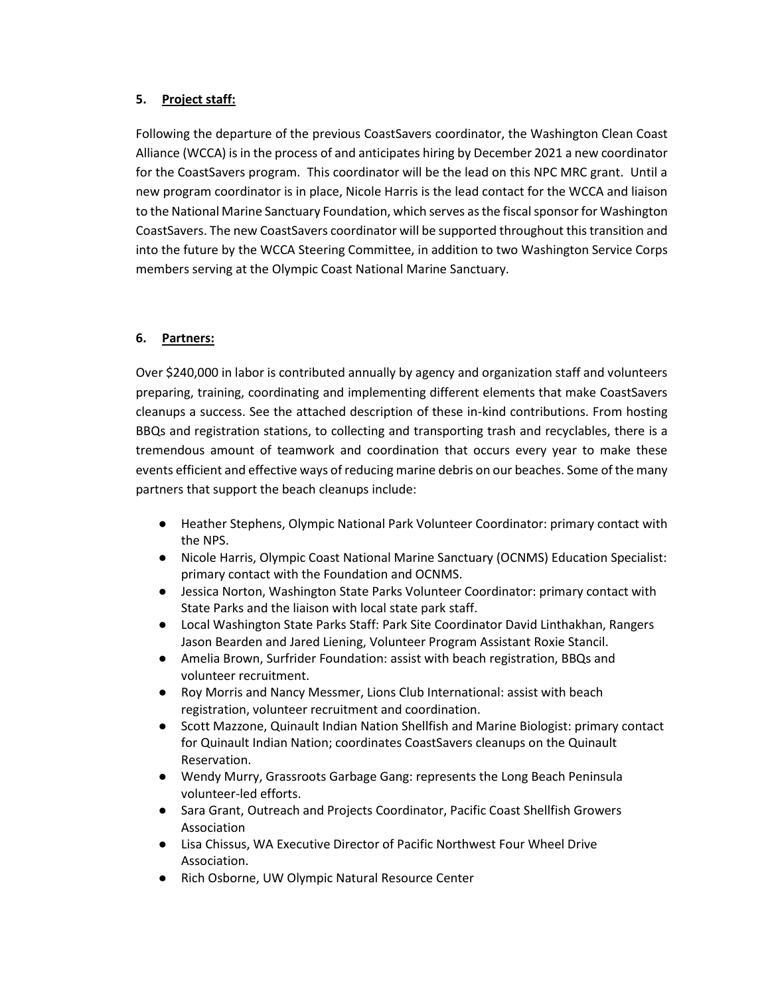# **5. Project staff:**

Following the departure of the previous CoastSavers coordinator, the Washington Clean Coast Alliance (WCCA) is in the process of and anticipates hiring by December 2021 a new coordinator for the CoastSavers program. This coordinator will be the lead on this NPC MRC grant. Until a new program coordinator is in place, Nicole Harris is the lead contact for the WCCA and liaison to the National Marine Sanctuary Foundation, which serves as the fiscal sponsor for Washington CoastSavers. The new CoastSavers coordinator will be supported throughout this transition and into the future by the WCCA Steering Committee, in addition to two Washington Service Corps members serving at the Olympic Coast National Marine Sanctuary.

# **6. Partners:**

Over \$240,000 in labor is contributed annually by agency and organization staff and volunteers preparing, training, coordinating and implementing different elements that make CoastSavers cleanups a success. See the attached description of these in-kind contributions. From hosting BBQs and registration stations, to collecting and transporting trash and recyclables, there is a tremendous amount of teamwork and coordination that occurs every year to make these events efficient and effective ways of reducing marine debris on our beaches. Some of the many partners that support the beach cleanups include:

- Heather Stephens, Olympic National Park Volunteer Coordinator: primary contact with the NPS.
- Nicole Harris, Olympic Coast National Marine Sanctuary (OCNMS) Education Specialist: primary contact with the Foundation and OCNMS.
- Jessica Norton, Washington State Parks Volunteer Coordinator: primary contact with State Parks and the liaison with local state park staff.
- Local Washington State Parks Staff: Park Site Coordinator David Linthakhan, Rangers Jason Bearden and Jared Liening, Volunteer Program Assistant Roxie Stancil.
- Amelia Brown, Surfrider Foundation: assist with beach registration, BBQs and volunteer recruitment.
- Roy Morris and Nancy Messmer, Lions Club International: assist with beach registration, volunteer recruitment and coordination.
- Scott Mazzone, Quinault Indian Nation Shellfish and Marine Biologist: primary contact for Quinault Indian Nation; coordinates CoastSavers cleanups on the Quinault Reservation.
- Wendy Murry, Grassroots Garbage Gang: represents the Long Beach Peninsula volunteer-led efforts.
- Sara Grant, Outreach and Projects Coordinator, Pacific Coast Shellfish Growers Association
- Lisa Chissus, WA Executive Director of Pacific Northwest Four Wheel Drive Association.
- Rich Osborne, UW Olympic Natural Resource Center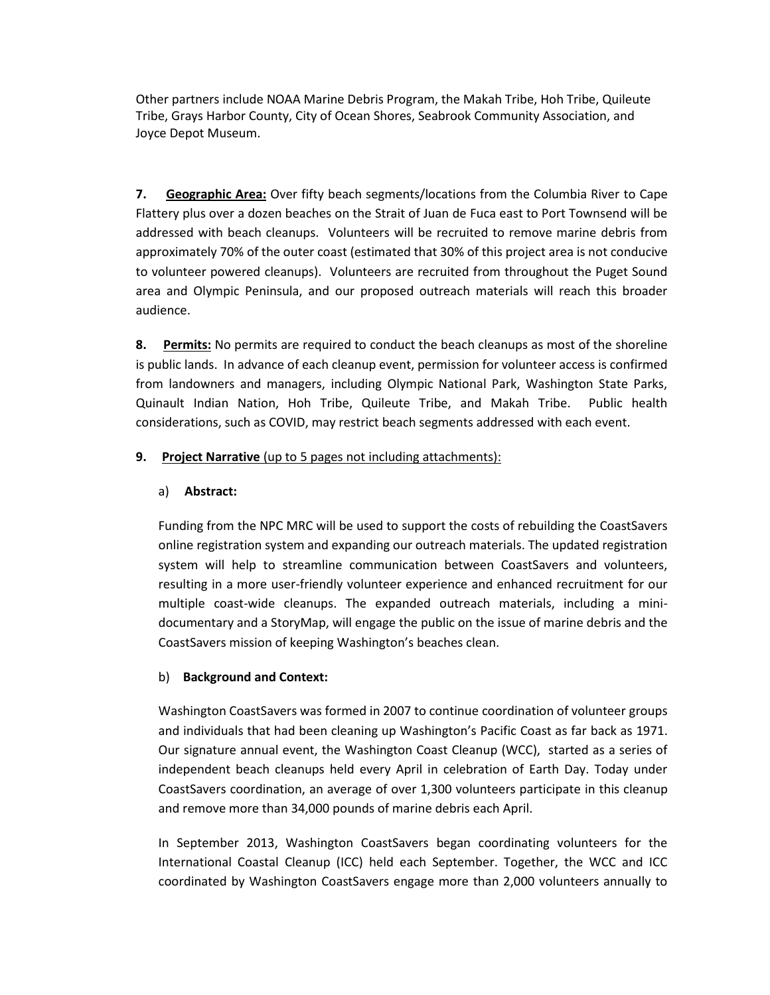Other partners include NOAA Marine Debris Program, the Makah Tribe, Hoh Tribe, Quileute Tribe, Grays Harbor County, City of Ocean Shores, Seabrook Community Association, and Joyce Depot Museum.

**7. Geographic Area:** Over fifty beach segments/locations from the Columbia River to Cape Flattery plus over a dozen beaches on the Strait of Juan de Fuca east to Port Townsend will be addressed with beach cleanups. Volunteers will be recruited to remove marine debris from approximately 70% of the outer coast (estimated that 30% of this project area is not conducive to volunteer powered cleanups). Volunteers are recruited from throughout the Puget Sound area and Olympic Peninsula, and our proposed outreach materials will reach this broader audience.

**8. Permits:** No permits are required to conduct the beach cleanups as most of the shoreline is public lands. In advance of each cleanup event, permission for volunteer access is confirmed from landowners and managers, including Olympic National Park, Washington State Parks, Quinault Indian Nation, Hoh Tribe, Quileute Tribe, and Makah Tribe. Public health considerations, such as COVID, may restrict beach segments addressed with each event.

### **9. Project Narrative** (up to 5 pages not including attachments):

## a) **Abstract:**

Funding from the NPC MRC will be used to support the costs of rebuilding the CoastSavers online registration system and expanding our outreach materials. The updated registration system will help to streamline communication between CoastSavers and volunteers, resulting in a more user-friendly volunteer experience and enhanced recruitment for our multiple coast-wide cleanups. The expanded outreach materials, including a minidocumentary and a StoryMap, will engage the public on the issue of marine debris and the CoastSavers mission of keeping Washington's beaches clean.

# b) **Background and Context:**

Washington CoastSavers was formed in 2007 to continue coordination of volunteer groups and individuals that had been cleaning up Washington's Pacific Coast as far back as 1971. Our signature annual event, the Washington Coast Cleanup (WCC), started as a series of independent beach cleanups held every April in celebration of Earth Day. Today under CoastSavers coordination, an average of over 1,300 volunteers participate in this cleanup and remove more than 34,000 pounds of marine debris each April.

In September 2013, Washington CoastSavers began coordinating volunteers for the International Coastal Cleanup (ICC) held each September. Together, the WCC and ICC coordinated by Washington CoastSavers engage more than 2,000 volunteers annually to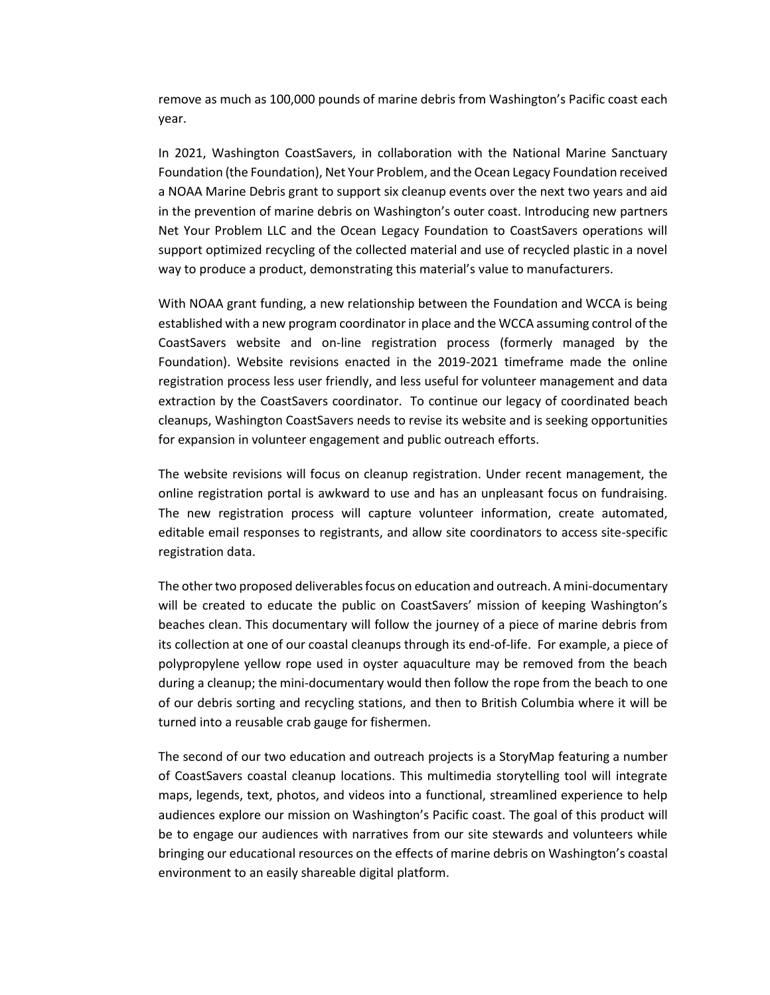remove as much as 100,000 pounds of marine debris from Washington's Pacific coast each year.

In 2021, Washington CoastSavers, in collaboration with the National Marine Sanctuary Foundation (the Foundation), Net Your Problem, and the Ocean Legacy Foundation received a NOAA Marine Debris grant to support six cleanup events over the next two years and aid in the prevention of marine debris on Washington's outer coast. Introducing new partners Net Your Problem LLC and the Ocean Legacy Foundation to CoastSavers operations will support optimized recycling of the collected material and use of recycled plastic in a novel way to produce a product, demonstrating this material's value to manufacturers.

With NOAA grant funding, a new relationship between the Foundation and WCCA is being established with a new program coordinator in place and the WCCA assuming control of the CoastSavers website and on-line registration process (formerly managed by the Foundation). Website revisions enacted in the 2019-2021 timeframe made the online registration process less user friendly, and less useful for volunteer management and data extraction by the CoastSavers coordinator. To continue our legacy of coordinated beach cleanups, Washington CoastSavers needs to revise its website and is seeking opportunities for expansion in volunteer engagement and public outreach efforts.

The website revisions will focus on cleanup registration. Under recent management, the online registration portal is awkward to use and has an unpleasant focus on fundraising. The new registration process will capture volunteer information, create automated, editable email responses to registrants, and allow site coordinators to access site-specific registration data.

The other two proposed deliverables focus on education and outreach. A mini-documentary will be created to educate the public on CoastSavers' mission of keeping Washington's beaches clean. This documentary will follow the journey of a piece of marine debris from its collection at one of our coastal cleanups through its end-of-life. For example, a piece of polypropylene yellow rope used in oyster aquaculture may be removed from the beach during a cleanup; the mini-documentary would then follow the rope from the beach to one of our debris sorting and recycling stations, and then to British Columbia where it will be turned into a reusable crab gauge for fishermen.

The second of our two education and outreach projects is a StoryMap featuring a number of CoastSavers coastal cleanup locations. This multimedia storytelling tool will integrate maps, legends, text, photos, and videos into a functional, streamlined experience to help audiences explore our mission on Washington's Pacific coast. The goal of this product will be to engage our audiences with narratives from our site stewards and volunteers while bringing our educational resources on the effects of marine debris on Washington's coastal environment to an easily shareable digital platform.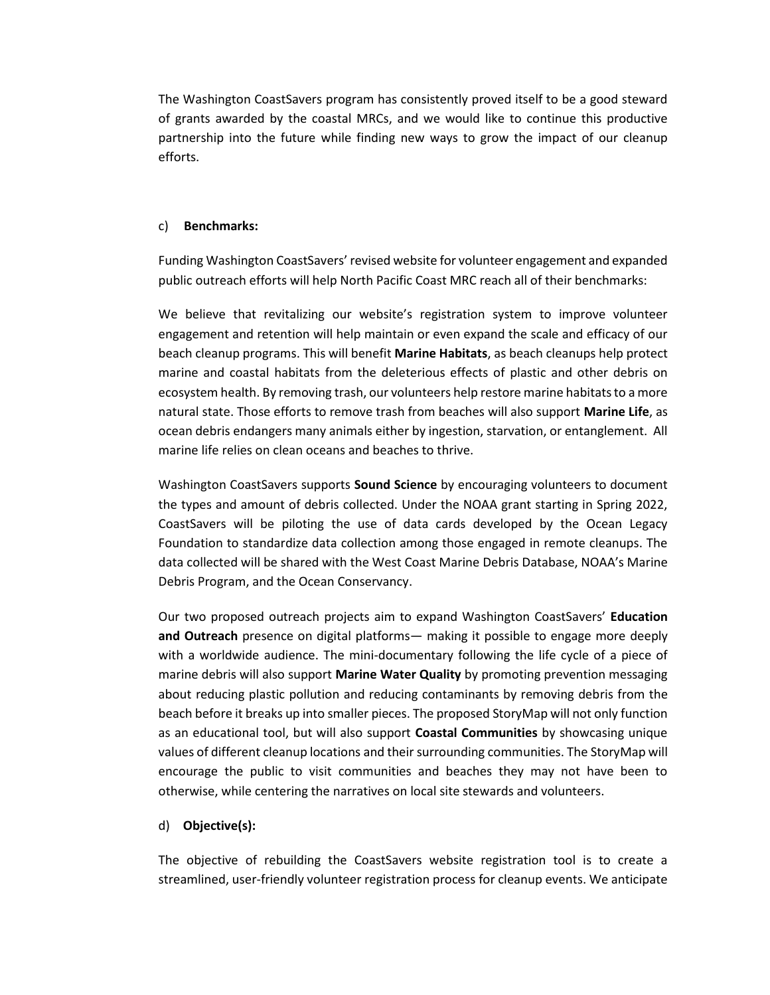The Washington CoastSavers program has consistently proved itself to be a good steward of grants awarded by the coastal MRCs, and we would like to continue this productive partnership into the future while finding new ways to grow the impact of our cleanup efforts.

#### c) **Benchmarks:**

Funding Washington CoastSavers' revised website for volunteer engagement and expanded public outreach efforts will help North Pacific Coast MRC reach all of their benchmarks:

We believe that revitalizing our website's registration system to improve volunteer engagement and retention will help maintain or even expand the scale and efficacy of our beach cleanup programs. This will benefit **Marine Habitats**, as beach cleanups help protect marine and coastal habitats from the deleterious effects of plastic and other debris on ecosystem health. By removing trash, our volunteers help restore marine habitats to a more natural state. Those efforts to remove trash from beaches will also support **Marine Life**, as ocean debris endangers many animals either by ingestion, starvation, or entanglement. All marine life relies on clean oceans and beaches to thrive.

Washington CoastSavers supports **Sound Science** by encouraging volunteers to document the types and amount of debris collected. Under the NOAA grant starting in Spring 2022, CoastSavers will be piloting the use of data cards developed by the Ocean Legacy Foundation to standardize data collection among those engaged in remote cleanups. The data collected will be shared with the West Coast Marine Debris Database, NOAA's Marine Debris Program, and the Ocean Conservancy.

Our two proposed outreach projects aim to expand Washington CoastSavers' **Education and Outreach** presence on digital platforms— making it possible to engage more deeply with a worldwide audience. The mini-documentary following the life cycle of a piece of marine debris will also support **Marine Water Quality** by promoting prevention messaging about reducing plastic pollution and reducing contaminants by removing debris from the beach before it breaks up into smaller pieces. The proposed StoryMap will not only function as an educational tool, but will also support **Coastal Communities** by showcasing unique values of different cleanup locations and their surrounding communities. The StoryMap will encourage the public to visit communities and beaches they may not have been to otherwise, while centering the narratives on local site stewards and volunteers.

#### d) **Objective(s):**

The objective of rebuilding the CoastSavers website registration tool is to create a streamlined, user-friendly volunteer registration process for cleanup events. We anticipate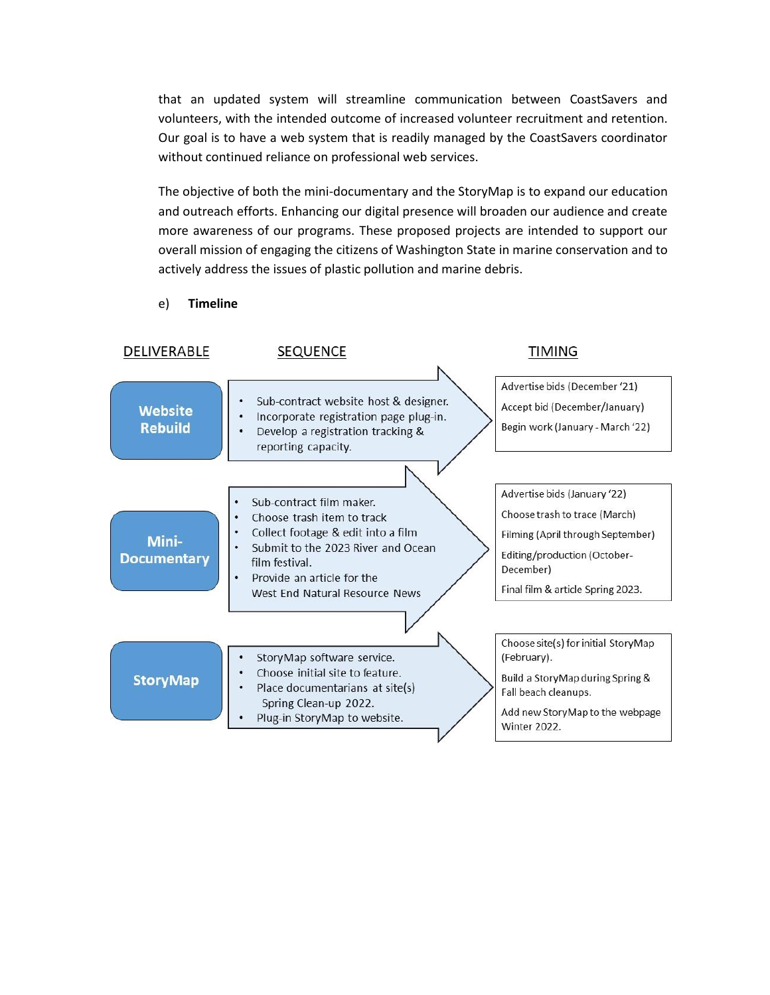that an updated system will streamline communication between CoastSavers and volunteers, with the intended outcome of increased volunteer recruitment and retention. Our goal is to have a web system that is readily managed by the CoastSavers coordinator without continued reliance on professional web services.

The objective of both the mini-documentary and the StoryMap is to expand our education and outreach efforts. Enhancing our digital presence will broaden our audience and create more awareness of our programs. These proposed projects are intended to support our overall mission of engaging the citizens of Washington State in marine conservation and to actively address the issues of plastic pollution and marine debris.

e) **Timeline**

| DELIVERABLE                      | SEQUENCE                                                                                                                                                        | TIMING                                                                                                                                                                   |  |  |
|----------------------------------|-----------------------------------------------------------------------------------------------------------------------------------------------------------------|--------------------------------------------------------------------------------------------------------------------------------------------------------------------------|--|--|
| <b>Website</b><br><b>Rebuild</b> | Sub-contract website host & designer.<br>Incorporate registration page plug-in.<br>Develop a registration tracking &<br>reporting capacity.                     | Advertise bids (December '21)<br>Accept bid (December/January)<br>Begin work (January - March '22)                                                                       |  |  |
|                                  | Sub-contract film maker.<br>Choose trash item to track<br>٠                                                                                                     | Advertise bids (January '22)<br>Choose trash to trace (March)                                                                                                            |  |  |
| Mini-<br><b>Documentary</b>      | Collect footage & edit into a film<br>Submit to the 2023 River and Ocean<br>film festival.<br>Provide an article for the<br>٠<br>West End Natural Resource News | Filming (April through September)<br>Editing/production (October-<br>December)<br>Final film & article Spring 2023.                                                      |  |  |
|                                  |                                                                                                                                                                 |                                                                                                                                                                          |  |  |
| <b>StoryMap</b>                  | StoryMap software service.<br>Choose initial site to feature.<br>Place documentarians at site(s)<br>Spring Clean-up 2022.<br>Plug-in StoryMap to website.       | Choose site(s) for initial StoryMap<br>(February).<br>Build a StoryMap during Spring &<br>Fall beach cleanups.<br>Add new StoryMap to the webpage<br><b>Winter 2022.</b> |  |  |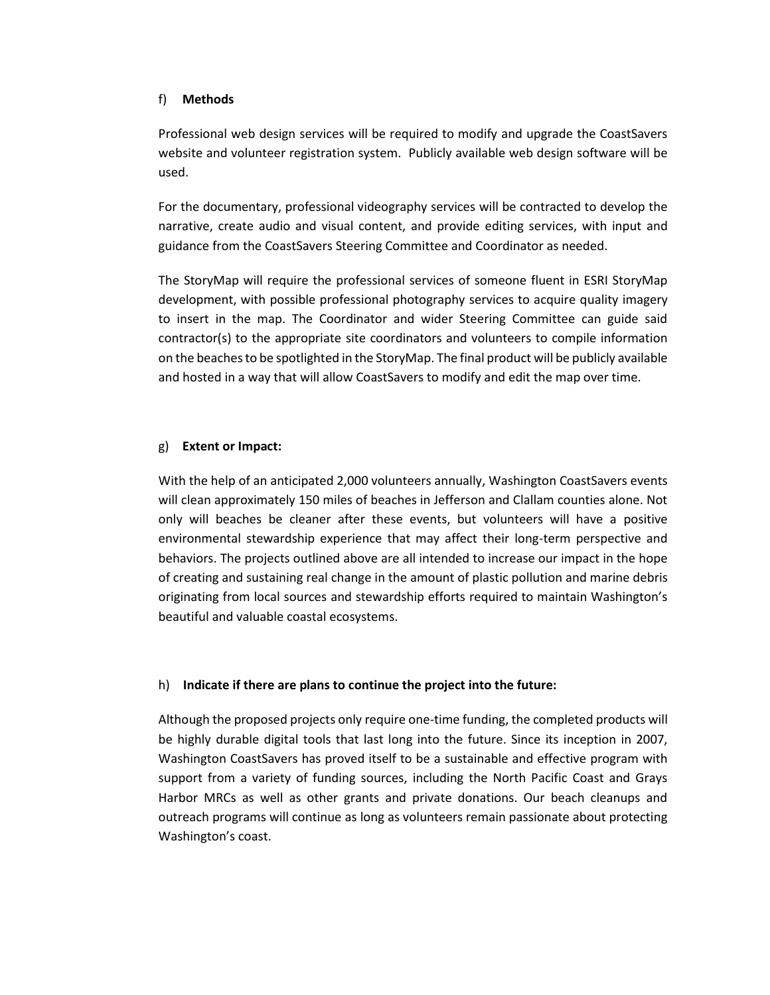#### f) **Methods**

Professional web design services will be required to modify and upgrade the CoastSavers website and volunteer registration system. Publicly available web design software will be used.

For the documentary, professional videography services will be contracted to develop the narrative, create audio and visual content, and provide editing services, with input and guidance from the CoastSavers Steering Committee and Coordinator as needed.

The StoryMap will require the professional services of someone fluent in ESRI StoryMap development, with possible professional photography services to acquire quality imagery to insert in the map. The Coordinator and wider Steering Committee can guide said contractor(s) to the appropriate site coordinators and volunteers to compile information on the beaches to be spotlighted in the StoryMap. The final product will be publicly available and hosted in a way that will allow CoastSavers to modify and edit the map over time.

#### g) **Extent or Impact:**

With the help of an anticipated 2,000 volunteers annually, Washington CoastSavers events will clean approximately 150 miles of beaches in Jefferson and Clallam counties alone. Not only will beaches be cleaner after these events, but volunteers will have a positive environmental stewardship experience that may affect their long-term perspective and behaviors. The projects outlined above are all intended to increase our impact in the hope of creating and sustaining real change in the amount of plastic pollution and marine debris originating from local sources and stewardship efforts required to maintain Washington's beautiful and valuable coastal ecosystems.

#### h) **Indicate if there are plans to continue the project into the future:**

Although the proposed projects only require one-time funding, the completed products will be highly durable digital tools that last long into the future. Since its inception in 2007, Washington CoastSavers has proved itself to be a sustainable and effective program with support from a variety of funding sources, including the North Pacific Coast and Grays Harbor MRCs as well as other grants and private donations. Our beach cleanups and outreach programs will continue as long as volunteers remain passionate about protecting Washington's coast.